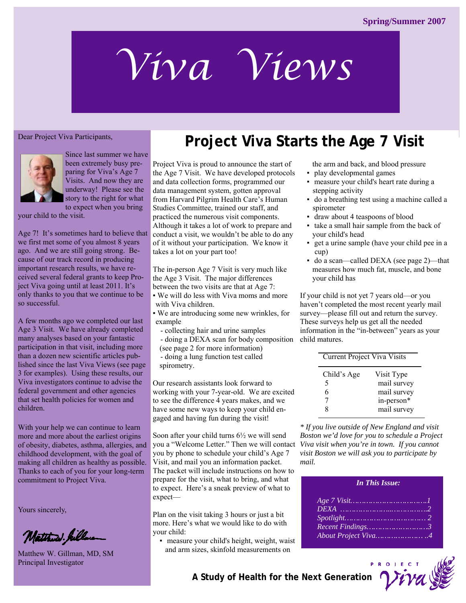# *Viva Views*

#### Dear Project Viva Participants,



Since last summer we have been extremely busy preparing for Viva's Age 7 Visits. And now they are underway! Please see the story to the right for what to expect when you bring

your child to the visit.

Age 7! It's sometimes hard to believe that we first met some of you almost 8 years ago. And we are still going strong. Because of our track record in producing important research results, we have received several federal grants to keep Project Viva going until at least 2011. It's only thanks to you that we continue to be so successful.

A few months ago we completed our last Age 3 Visit. We have already completed many analyses based on your fantastic participation in that visit, including more than a dozen new scientific articles published since the last Viva Views (see page 3 for examples). Using these results, our Viva investigators continue to advise the federal government and other agencies that set health policies for women and children.

With your help we can continue to learn more and more about the earliest origins of obesity, diabetes, asthma, allergies, and childhood development, with the goal of making all children as healthy as possible. Thanks to each of you for your long-term commitment to Project Viva.

Yours sincerely,

Matthew hillwan

Matthew W. Gillman, MD, SM Principal Investigator

## **Project Viva Starts the Age 7 Visit**

Project Viva is proud to announce the start of the Age 7 Visit. We have developed protocols and data collection forms, programmed our data management system, gotten approval from Harvard Pilgrim Health Care's Human Studies Committee, trained our staff, and practiced the numerous visit components. Although it takes a lot of work to prepare and conduct a visit, we wouldn't be able to do any of it without your participation. We know it takes a lot on your part too!

The in-person Age 7 Visit is very much like the Age 3 Visit. The major differences between the two visits are that at Age 7:

• We will do less with Viva moms and more with Viva children.

▪ We are introducing some new wrinkles, for example

- collecting hair and urine samples

- doing a DEXA scan for body composition

(see page 2 for more information) - doing a lung function test called

spirometry.

gaged and having fun during the visit! Our research assistants look forward to working with your 7-year-old. We are excited to see the difference 4 years makes, and we have some new ways to keep your child en-

Soon after your child turns 6½ we will send you a "Welcome Letter." Then we will contact *Viva visit when you're in town. If you cannot*  you by phone to schedule your child's Age 7 Visit, and mail you an information packet. The packet will include instructions on how to prepare for the visit, what to bring, and what to expect. Here's a sneak preview of what to expect—

Plan on the visit taking 3 hours or just a bit more. Here's what we would like to do with your child:

▪ measure your child's height, weight, waist and arm sizes, skinfold measurements on

the arm and back, and blood pressure ▪ play developmental games

- measure your child's heart rate during a stepping activity
- do a breathing test using a machine called a spirometer
- draw about 4 teaspoons of blood
- take a small hair sample from the back of your child's head
- get a urine sample (have your child pee in a cup)
- do a scan—called DEXA (see page 2)—that measures how much fat, muscle, and bone your child has

If your child is not yet 7 years old—or you haven't completed the most recent yearly mail survey—please fill out and return the survey. These surveys help us get all the needed information in the "in-between" years as your child matures.

| <b>Current Project Viva Visits</b> |
|------------------------------------|
| Visit Type                         |
| mail survey                        |
| mail survey                        |
| in-person*                         |
| mail survey                        |
|                                    |

*\* If you live outside of New England and visit Boston we'd love for you to schedule a Project visit Boston we will ask you to participate by mail.* 

| <b>In This Issue:</b>                               |
|-----------------------------------------------------|
| $DEXA$ 2<br>Recent Findings3<br>About Project Viva4 |



**A Study of Health for the Next Generation A**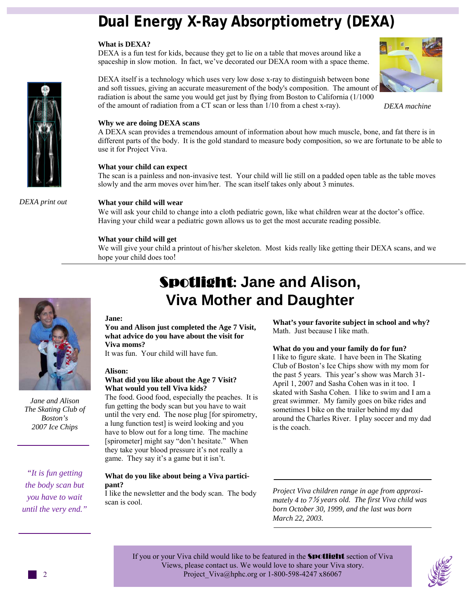## **Dual Energy X-Ray Absorptiometry (DEXA)**

#### **What is DEXA?**

DEXA is a fun test for kids, because they get to lie on a table that moves around like a spaceship in slow motion. In fact, we've decorated our DEXA room with a space theme.

DEXA itself is a technology which uses very low dose x-ray to distinguish between bone and soft tissues, giving an accurate measurement of the body's composition. The amount of radiation is about the same you would get just by flying from Boston to California (1/1000 of the amount of radiation from a CT scan or less than 1/10 from a chest x-ray).

*DEXA machine* 

#### **Why we are doing DEXA scans**

A DEXA scan provides a tremendous amount of information about how much muscle, bone, and fat there is in different parts of the body. It is the gold standard to measure body composition, so we are fortunate to be able to use it for Project Viva.

#### **What your child can expect**

The scan is a painless and non-invasive test. Your child will lie still on a padded open table as the table moves slowly and the arm moves over him/her. The scan itself takes only about 3 minutes.

*DEXA print out* 

#### **What your child will wear**

We will ask your child to change into a cloth pediatric gown, like what children wear at the doctor's office. Having your child wear a pediatric gown allows us to get the most accurate reading possible.

#### **What your child will get**

We will give your child a printout of his/her skeleton. Most kids really like getting their DEXA scans, and we hope your child does too!



*Jane and Alison The Skating Club of Boston's 2007 Ice Chips* 

*"It is fun getting the body scan but you have to wait until the very end."*

## Spotlight**: Jane and Alison, Viva Mother and Daughter**

#### **Jane:**

#### **You and Alison just completed the Age 7 Visit, what advice do you have about the visit for Viva moms?**

It was fun. Your child will have fun.

#### **Alison:**

#### **What did you like about the Age 7 Visit? What would you tell Viva kids?**

The food. Good food, especially the peaches. It is fun getting the body scan but you have to wait until the very end. The nose plug [for spirometry, a lung function test] is weird looking and you have to blow out for a long time. The machine [spirometer] might say "don't hesitate." When they take your blood pressure it's not really a game. They say it's a game but it isn't.

#### **What do you like about being a Viva participant?**

I like the newsletter and the body scan. The body scan is cool.

**What's your favorite subject in school and why?**  Math. Just because I like math.

#### **What do you and your family do for fun?**

I like to figure skate. I have been in The Skating Club of Boston's Ice Chips show with my mom for the past 5 years. This year's show was March 31- April 1, 2007 and Sasha Cohen was in it too. I skated with Sasha Cohen. I like to swim and I am a great swimmer. My family goes on bike rides and sometimes I bike on the trailer behind my dad around the Charles River. I play soccer and my dad is the coach.

*Project Viva children range in age from approximately 4 to 7*½ *years old. The first Viva child was born October 30, 1999, and the last was born March 22, 2003.* 

If you or your Viva child would like to be featured in the **Spotlight** section of Viva Views, please contact us. We would love to share your Viva story. Project Viva@hphc.org or 1-800-598-4247 x86067



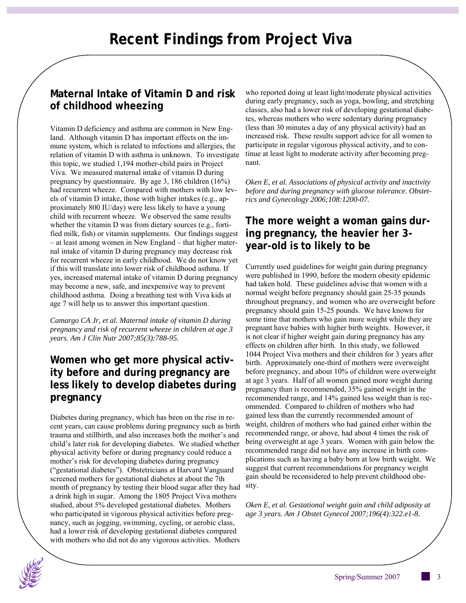## **Maternal Intake of Vitamin D and risk of childhood wheezing**

Vitamin D deficiency and asthma are common in New England. Although vitamin D has important effects on the immune system, which is related to infections and allergies, the relation of vitamin D with asthma is unknown. To investigate this topic, we studied 1,194 mother-child pairs in Project Viva. We measured maternal intake of vitamin D during pregnancy by questionnaire. By age 3, 186 children (16%) had recurrent wheeze. Compared with mothers with low levels of vitamin D intake, those with higher intakes (e.g., approximately 800 IU/day) were less likely to have a young child with recurrent wheeze. We observed the same results whether the vitamin D was from dietary sources (e.g., fortified milk, fish) or vitamin supplements. Our findings suggest – at least among women in New England – that higher maternal intake of vitamin D during pregnancy may decrease risk for recurrent wheeze in early childhood. We do not know yet if this will translate into lower risk of childhood asthma. If yes, increased maternal intake of vitamin D during pregnancy may become a new, safe, and inexpensive way to prevent childhood asthma. Doing a breathing test with Viva kids at age 7 will help us to answer this important question.

*Camargo CA Jr, et al. Maternal intake of vitamin D during pregnancy and risk of recurrent wheeze in children at age 3 years. Am J Clin Nutr 2007;85(3):788-95.* 

## **Women who get more physical activity before and during pregnancy are less likely to develop diabetes during pregnancy**

Diabetes during pregnancy, which has been on the rise in recent years, can cause problems during pregnancy such as birth trauma and stillbirth, and also increases both the mother's and child's later risk for developing diabetes. We studied whether physical activity before or during pregnancy could reduce a mother's risk for developing diabetes during pregnancy ("gestational diabetes"). Obstetricians at Harvard Vanguard screened mothers for gestational diabetes at about the 7th month of pregnancy by testing their blood sugar after they had sity. a drink high in sugar. Among the 1805 Project Viva mothers studied, about 5% developed gestational diabetes. Mothers who participated in vigorous physical activities before pregnancy, such as jogging, swimming, cycling, or aerobic class, had a lower risk of developing gestational diabetes compared with mothers who did not do any vigorous activities. Mothers

who reported doing at least light/moderate physical activities during early pregnancy, such as yoga, bowling, and stretching classes, also had a lower risk of developing gestational diabetes, whereas mothers who were sedentary during pregnancy (less than 30 minutes a day of any physical activity) had an increased risk. These results support advice for all women to participate in regular vigorous physical activity, and to continue at least light to moderate activity after becoming pregnant.

*Oken E, et al. Associations of physical activity and inactivity before and during pregnancy with glucose tolerance. Obstetrics and Gynecology 2006;108:1200-07.* 

## **The more weight a woman gains during pregnancy, the heavier her 3 year-old is to likely to be**

Currently used guidelines for weight gain during pregnancy were published in 1990, before the modern obesity epidemic had taken hold. These guidelines advise that women with a normal weight before pregnancy should gain 25-35 pounds throughout pregnancy, and women who are overweight before pregnancy should gain 15-25 pounds. We have known for some time that mothers who gain more weight while they are pregnant have babies with higher birth weights. However, it is not clear if higher weight gain during pregnancy has any effects on children after birth. In this study, we followed 1044 Project Viva mothers and their children for 3 years after birth. Approximately one-third of mothers were overweight before pregnancy, and about 10% of children were overweight at age 3 years. Half of all women gained more weight during pregnancy than is recommended, 35% gained weight in the recommended range, and 14% gained less weight than is recommended. Compared to children of mothers who had gained less than the currently recommended amount of weight, children of mothers who had gained either within the recommended range, or above, had about 4 times the risk of being overweight at age 3 years. Women with gain below the recommended range did not have any increase in birth complications such as having a baby born at low birth weight. We suggest that current recommendations for pregnancy weight gain should be reconsidered to help prevent childhood obe-

*Oken E, et al. Gestational weight gain and child adiposity at age 3 years. Am J Obstet Gynecol 2007;196(4):322.e1-8.* 

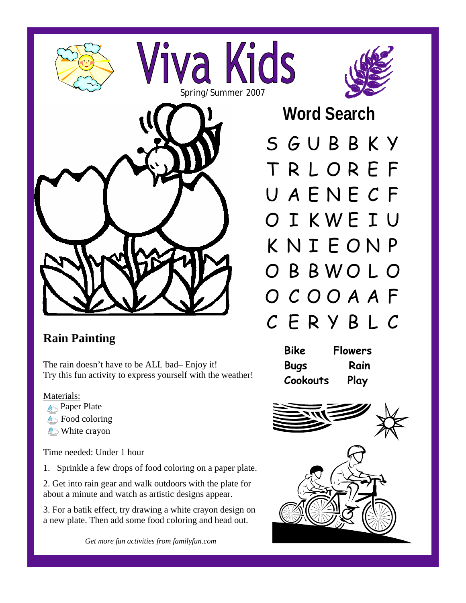

## **Rain Painting**

The rain doesn't have to be ALL bad– Enjoy it! Try this fun activity to express yourself with the weather!

#### Materials:

- **Paper Plate**
- **Food coloring**
- **White crayon**

Time needed: Under 1 hour

1. Sprinkle a few drops of food coloring on a paper plate.

2. Get into rain gear and walk outdoors with the plate for about a minute and watch as artistic designs appear.

3. For a batik effect, try drawing a white crayon design on a new plate. Then add some food coloring and head out.

*Get more fun activities from familyfun.com* 



 **Word Search** 

S G U B B K Y T R L O R E F U A E N E C F O I K W E I U K N I E O N P O B B W O L O O C O O A A F C E R Y B L C

| Bike        | <b>Flowers</b> |
|-------------|----------------|
| <b>Bugs</b> | Rain           |
| Cookouts    | Play           |



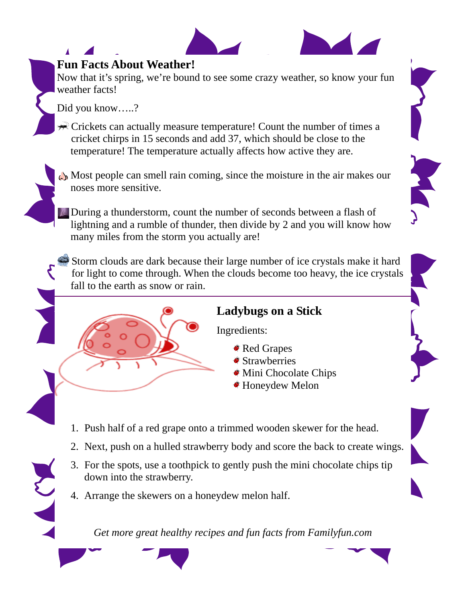

## **Fun Facts About Weather!**

Now that it's spring, we're bound to see some crazy weather, so know your fun weather facts!

Did you know…..?

 $\mathcal{R}$  Crickets can actually measure temperature! Count the number of times a cricket chirps in 15 seconds and add 37, which should be close to the temperature! The temperature actually affects how active they are.

Most people can smell rain coming, since the moisture in the air makes our noses more sensitive.

During a thunderstorm, count the number of seconds between a flash of lightning and a rumble of thunder, then divide by 2 and you will know how many miles from the storm you actually are!

Storm clouds are dark because their large number of ice crystals make it hard for light to come through. When the clouds become too heavy, the ice crystals fall to the earth as snow or rain.

**Ladybugs on a Stick** 

Ingredients:

- Red Grapes
- **Strawberries**
- Mini Chocolate Chips
- Honeydew Melon
- 1. Push half of a red grape onto a trimmed wooden skewer for the head.
- 2. Next, push on a hulled strawberry body and score the back to create wings.
- 3. For the spots, use a toothpick to gently push the mini chocolate chips tip down into the strawberry.
- 4. Arrange the skewers on a honeydew melon half.

*Get more great healthy recipes and fun facts from Familyfun.com*